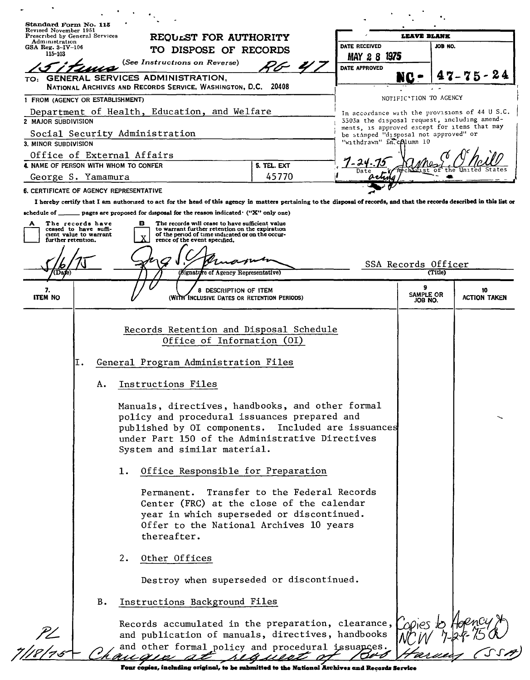| Revised November 1951<br>Prescribed by General Services                          |                                                                     | <b>REQULST FOR AUTHORITY</b>                                                                                                                                                                                                                                                                                                                                                                                                                             |                                 |               | <b>LEAVE BLANK</b>                    |         |                                                                                                                                                |
|----------------------------------------------------------------------------------|---------------------------------------------------------------------|----------------------------------------------------------------------------------------------------------------------------------------------------------------------------------------------------------------------------------------------------------------------------------------------------------------------------------------------------------------------------------------------------------------------------------------------------------|---------------------------------|---------------|---------------------------------------|---------|------------------------------------------------------------------------------------------------------------------------------------------------|
| Administration<br>$GSA$ Reg. 3-IV-106                                            |                                                                     |                                                                                                                                                                                                                                                                                                                                                                                                                                                          |                                 | DATE RECEIVED |                                       | JOB NO. |                                                                                                                                                |
| 115-103                                                                          |                                                                     | TO DISPOSE OF RECORDS                                                                                                                                                                                                                                                                                                                                                                                                                                    |                                 | <b>MAY 28</b> | 1975                                  |         |                                                                                                                                                |
|                                                                                  |                                                                     | (See Instructions on Reverse)                                                                                                                                                                                                                                                                                                                                                                                                                            |                                 | DATE APPROVED |                                       |         | $7 - 75 - 24$                                                                                                                                  |
| TO:                                                                              |                                                                     | GENERAL SERVICES ADMINISTRATION,<br>National Archives and Records Service, Washington, D.C. 20408                                                                                                                                                                                                                                                                                                                                                        |                                 |               | NC                                    |         |                                                                                                                                                |
| 1 FROM (AGENCY OR ESTABLISHMENT)                                                 |                                                                     |                                                                                                                                                                                                                                                                                                                                                                                                                                                          |                                 |               | NOTIFIC'TION TO AGENCY                |         |                                                                                                                                                |
| 2 MAJOR SUBDIVISION                                                              |                                                                     | Department of Health, Education, and Welfare                                                                                                                                                                                                                                                                                                                                                                                                             |                                 |               |                                       |         | In accordance with the provisions of 44 U S.C.<br>3303a the disposal request, including amend-<br>ments, is approved except for items that may |
|                                                                                  | Social Security Administration                                      |                                                                                                                                                                                                                                                                                                                                                                                                                                                          |                                 |               | be stamped "disposal not approved" or |         |                                                                                                                                                |
| 3. MINOR SUBDIVISION                                                             |                                                                     |                                                                                                                                                                                                                                                                                                                                                                                                                                                          |                                 |               | "withdrawn" in column 10              |         |                                                                                                                                                |
|                                                                                  | Office of External Affairs<br>4. NAME OF PERSON WITH WHOM TO CONFER |                                                                                                                                                                                                                                                                                                                                                                                                                                                          | 5. TEL. EXT                     |               |                                       |         |                                                                                                                                                |
| George S. Yamamura                                                               |                                                                     |                                                                                                                                                                                                                                                                                                                                                                                                                                                          | 45770                           |               |                                       |         |                                                                                                                                                |
|                                                                                  | <b>6. CERTIFICATE OF AGENCY REPRESENTATIVE</b>                      |                                                                                                                                                                                                                                                                                                                                                                                                                                                          |                                 |               |                                       |         |                                                                                                                                                |
| ceased to have suffi-<br>cient value to warrant<br>further retention.<br>(Da(e)) |                                                                     | to warrant further retention on the expiration<br>of the period of time indicated or on the occur-<br>rence of the event specified.<br>(Signature of Agency Representative)                                                                                                                                                                                                                                                                              |                                 |               | SSA Records Officer                   | (Title) |                                                                                                                                                |
|                                                                                  |                                                                     |                                                                                                                                                                                                                                                                                                                                                                                                                                                          |                                 |               | g                                     |         |                                                                                                                                                |
| 7.<br><b>ITEM NO</b>                                                             |                                                                     | DESCRIPTION OF ITEM<br>(With Inclusive Dates or Retention Periods)                                                                                                                                                                                                                                                                                                                                                                                       |                                 |               | SAMPLE OR<br>JOB NO.                  |         | 10<br><b>ACTION TAKEN</b>                                                                                                                      |
|                                                                                  | А.                                                                  |                                                                                                                                                                                                                                                                                                                                                                                                                                                          |                                 |               |                                       |         |                                                                                                                                                |
|                                                                                  | ı.                                                                  | Instructions Files<br>Manuals, directives, handbooks, and other formal<br>policy and procedural issuances prepared and<br>published by OI components. Included are issuances<br>under Part 150 of the Administrative Directives<br>System and similar material.<br>Office Responsible for Preparation<br>Permanent.<br>Center (FRC) at the close of the calendar<br>year in which superseded or discontinued.<br>Offer to the National Archives 10 years | Transfer to the Federal Records |               |                                       |         |                                                                                                                                                |
|                                                                                  | 2.                                                                  | thereafter.<br>Other Offices                                                                                                                                                                                                                                                                                                                                                                                                                             |                                 |               |                                       |         |                                                                                                                                                |
|                                                                                  |                                                                     | Destroy when superseded or discontinued.                                                                                                                                                                                                                                                                                                                                                                                                                 |                                 |               |                                       |         |                                                                                                                                                |
|                                                                                  | Β.                                                                  | Instructions Background Files                                                                                                                                                                                                                                                                                                                                                                                                                            |                                 |               |                                       |         |                                                                                                                                                |
|                                                                                  |                                                                     | Records accumulated in the preparation, clearance,<br>and publication of manuals, directives, handbooks<br>and other formal policy and procedural issuances.                                                                                                                                                                                                                                                                                             |                                 |               | hanes to                              |         |                                                                                                                                                |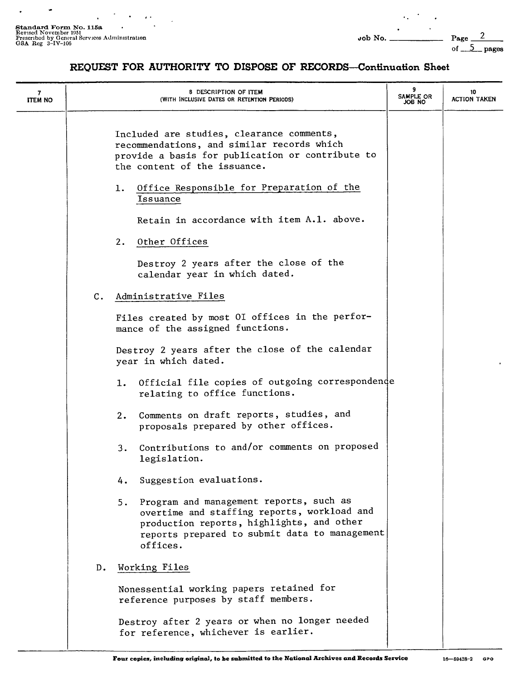$\overline{a}$ 

L.

 $\overline{a}$ 

 $\ddot{\phantom{a}}$  .

5\_pages

## **REQUEST FOR AUTHORITY TO DISPOSE OF RECORDS-Continuation Sheet**

| 7<br><b>ITEM NO</b> |               | 8 DESCRIPTION OF ITEM<br>(WITH INCLUSIVE DATES OR RETENTION PERIODS)                                                                                                                                   | 9<br>SAMPLE OR<br>JOB NO | 10<br><b>ACTION TAKEN</b> |
|---------------------|---------------|--------------------------------------------------------------------------------------------------------------------------------------------------------------------------------------------------------|--------------------------|---------------------------|
|                     |               | Included are studies, clearance comments,<br>recommendations, and similar records which<br>provide a basis for publication or contribute to<br>the content of the issuance.                            |                          |                           |
|                     |               | Office Responsible for Preparation of the<br>1.<br>Issuance                                                                                                                                            |                          |                           |
|                     |               | Retain in accordance with item A.1. above.                                                                                                                                                             |                          |                           |
|                     |               | 2.<br>Other Offices                                                                                                                                                                                    |                          |                           |
|                     |               | Destroy 2 years after the close of the<br>calendar year in which dated.                                                                                                                                |                          |                           |
|                     | $C_{\bullet}$ | Administrative Files                                                                                                                                                                                   |                          |                           |
|                     |               | Files created by most OI offices in the perfor-<br>mance of the assigned functions.                                                                                                                    |                          |                           |
|                     |               | Destroy 2 years after the close of the calendar<br>year in which dated.                                                                                                                                |                          |                           |
|                     |               | 1. Official file copies of outgoing correspondence<br>relating to office functions.                                                                                                                    |                          |                           |
|                     |               | 2. Comments on draft reports, studies, and<br>proposals prepared by other offices.                                                                                                                     |                          |                           |
|                     |               | Contributions to and/or comments on proposed<br>3.<br>legislation.                                                                                                                                     |                          |                           |
|                     |               | Suggestion evaluations.<br>4.                                                                                                                                                                          |                          |                           |
|                     |               | Program and management reports, such as<br>5.<br>overtime and staffing reports, workload and<br>production reports, highlights, and other<br>reports prepared to submit data to management<br>offices. |                          |                           |
|                     | D.            | Working Files                                                                                                                                                                                          |                          |                           |
|                     |               | Nonessential working papers retained for<br>reference purposes by staff members.                                                                                                                       |                          |                           |
|                     |               | Destroy after 2 years or when no longer needed<br>for reference, whichever is earlier.                                                                                                                 |                          |                           |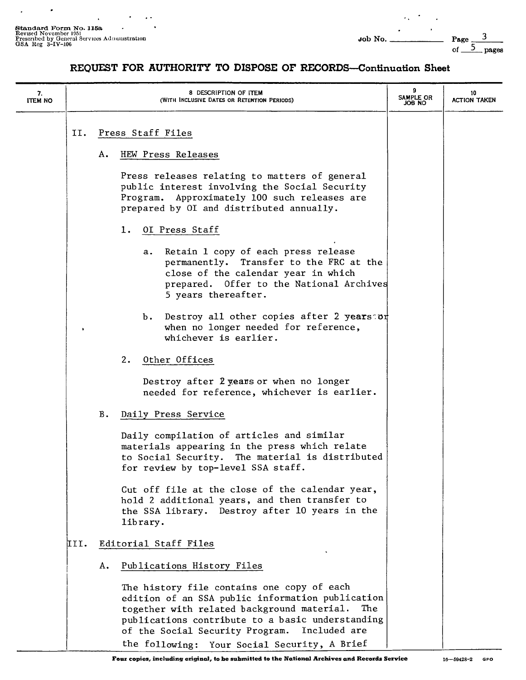$\ddot{\phantom{a}}$ 

 $\ddot{\phantom{a}}$ 

 $\bullet$ 

 $\overline{a}$ 

 $\epsilon_{\rm A}$ 

 $\bullet$ 

## REQUEST FOR AUTHORITY TO DISPOSE OF RECORDS-Continuation Sheet

| 7.<br><b>ITEM NO</b> |      | 8 DESCRIPTION OF ITEM<br>(WITH INCLUSIVE DATES OR RETENTION PERIODS)                                                                                                                                                                                                                                       | 9<br>SAMPLE OR<br>ON HOL | 10<br><b>ACTION TAKEN</b> |
|----------------------|------|------------------------------------------------------------------------------------------------------------------------------------------------------------------------------------------------------------------------------------------------------------------------------------------------------------|--------------------------|---------------------------|
|                      | II.  | Press Staff Files                                                                                                                                                                                                                                                                                          |                          |                           |
|                      |      | HEW Press Releases<br>А.                                                                                                                                                                                                                                                                                   |                          |                           |
|                      |      | Press releases relating to matters of general<br>public interest involving the Social Security<br>Program. Approximately 100 such releases are<br>prepared by OI and distributed annually.                                                                                                                 |                          |                           |
|                      |      | OI Press Staff<br>ı.                                                                                                                                                                                                                                                                                       |                          |                           |
|                      |      | Retain 1 copy of each press release<br>а. –<br>permanently. Transfer to the FRC at the<br>close of the calendar year in which<br>prepared. Offer to the National Archives<br>5 years thereafter.                                                                                                           |                          |                           |
|                      |      | b. Destroy all other copies after 2 years or<br>when no longer needed for reference,<br>whichever is earlier.                                                                                                                                                                                              |                          |                           |
|                      |      | Other Offices<br>2.                                                                                                                                                                                                                                                                                        |                          |                           |
|                      |      | Destroy after 2 years or when no longer<br>needed for reference, whichever is earlier.                                                                                                                                                                                                                     |                          |                           |
|                      |      | <b>B.</b><br>Daily Press Service                                                                                                                                                                                                                                                                           |                          |                           |
|                      |      | Daily compilation of articles and similar<br>materials appearing in the press which relate<br>to Social Security. The material is distributed<br>for review by top-level SSA staff.                                                                                                                        |                          |                           |
|                      |      | Cut off file at the close of the calendar year,<br>hold 2 additional years, and then transfer to<br>the SSA library. Destroy after 10 years in the<br>library.                                                                                                                                             |                          |                           |
|                      | III. | Editorial Staff Files                                                                                                                                                                                                                                                                                      |                          |                           |
|                      |      | Publications History Files<br>Α.                                                                                                                                                                                                                                                                           |                          |                           |
|                      |      | The history file contains one copy of each<br>edition of an SSA public information publication<br>together with related background material.<br>The<br>publications contribute to a basic understanding<br>of the Social Security Program.<br>Included are<br>the following: Your Social Security, A Brief |                          |                           |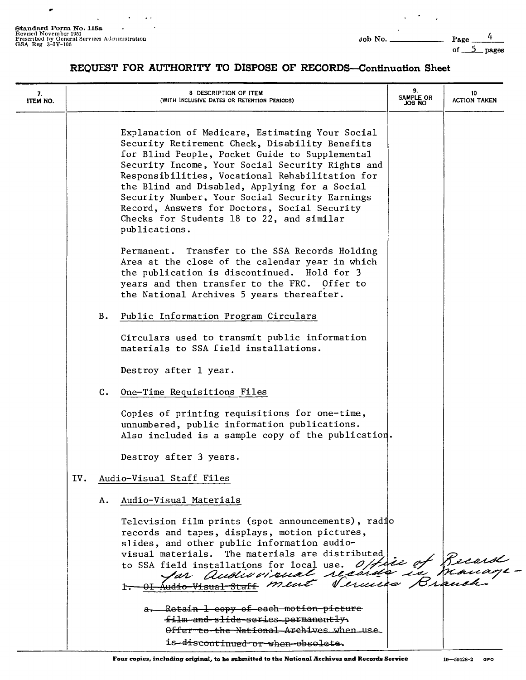$\mathcal{A}$ 

 $\sim$ 

 $\ddot{\phantom{a}}$ 

 $\bullet$ 

 $\mathcal{L}^{\text{max}}(\mathcal{F})$  .

of  $5$  pages

## REQUEST FOR AUTHORITY TO DISPOSE OF RECORDS-Continuation Sheet

| 7.<br>ITEM NO. |     |           | 8 DESCRIPTION OF ITEM<br>(WITH INCLUSIVE DATES OR RETENTION PERIODS)                                                                                                                                                                                                                                                                                                                                                                                                        | 9.<br>SAMPLE OR<br>ON 80L | 10<br>ACTION TAKEN |
|----------------|-----|-----------|-----------------------------------------------------------------------------------------------------------------------------------------------------------------------------------------------------------------------------------------------------------------------------------------------------------------------------------------------------------------------------------------------------------------------------------------------------------------------------|---------------------------|--------------------|
|                |     |           | Explanation of Medicare, Estimating Your Social<br>Security Retirement Check, Disability Benefits<br>for Blind People, Pocket Guide to Supplemental<br>Security Income, Your Social Security Rights and<br>Responsibilities, Vocational Rehabilitation for<br>the Blind and Disabled, Applying for a Social<br>Security Number, Your Social Security Earnings<br>Record, Answers for Doctors, Social Security<br>Checks for Students 18 to 22, and similar<br>publications. |                           |                    |
|                |     |           | Permanent. Transfer to the SSA Records Holding<br>Area at the close of the calendar year in which<br>the publication is discontinued. Hold for 3<br>years and then transfer to the FRC. Offer to<br>the National Archives 5 years thereafter.                                                                                                                                                                                                                               |                           |                    |
|                |     | <b>B.</b> | Public Information Program Circulars                                                                                                                                                                                                                                                                                                                                                                                                                                        |                           |                    |
|                |     |           | Circulars used to transmit public information<br>materials to SSA field installations.                                                                                                                                                                                                                                                                                                                                                                                      |                           |                    |
|                |     |           | Destroy after 1 year.                                                                                                                                                                                                                                                                                                                                                                                                                                                       |                           |                    |
|                |     | c.        | One-Time Requisitions Files                                                                                                                                                                                                                                                                                                                                                                                                                                                 |                           |                    |
|                |     |           | Copies of printing requisitions for one-time,<br>unnumbered, public information publications.<br>Also included is a sample copy of the publication.                                                                                                                                                                                                                                                                                                                         |                           |                    |
|                |     |           | Destroy after 3 years.                                                                                                                                                                                                                                                                                                                                                                                                                                                      |                           |                    |
|                | IV. |           | Audio-Visual Staff Files                                                                                                                                                                                                                                                                                                                                                                                                                                                    |                           |                    |
|                |     | А.        | Audio-Visual Materials                                                                                                                                                                                                                                                                                                                                                                                                                                                      |                           |                    |
|                |     |           | Television film prints (spot announcements), radio<br>records and tapes, displays, motion pictures,<br>slides, and other public information audio-<br>The materials are distributed<br>visual materials.<br>to SSA field installations for local use. Officie of Records                                                                                                                                                                                                    |                           |                    |
|                |     |           | a. Retain 1 copy of each motion picture<br>film and slide series permanently.<br>Offer to the National Archives when use<br>is-discontinued-or-when-obsolete.                                                                                                                                                                                                                                                                                                               |                           |                    |